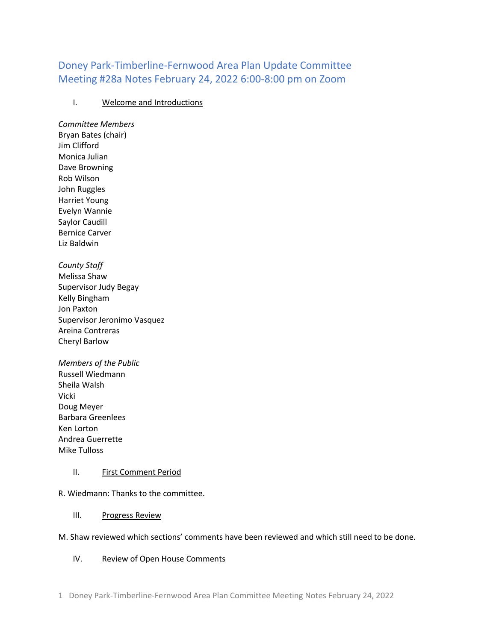# Doney Park-Timberline-Fernwood Area Plan Update Committee Meeting #28a Notes February 24, 2022 6:00-8:00 pm on Zoom

# I. Welcome and Introductions

*Committee Members* Bryan Bates (chair) Jim Clifford Monica Julian Dave Browning Rob Wilson John Ruggles Harriet Young Evelyn Wannie Saylor Caudill Bernice Carver Liz Baldwin

*County Staff* Melissa Shaw Supervisor Judy Begay Kelly Bingham Jon Paxton Supervisor Jeronimo Vasquez Areina Contreras Cheryl Barlow

*Members of the Public* Russell Wiedmann Sheila Walsh Vicki Doug Meyer Barbara Greenlees Ken Lorton Andrea Guerrette Mike Tulloss

#### II. First Comment Period

R. Wiedmann: Thanks to the committee.

#### III. Progress Review

#### M. Shaw reviewed which sections' comments have been reviewed and which still need to be done.

# IV. Review of Open House Comments

1 Doney Park-Timberline-Fernwood Area Plan Committee Meeting Notes February 24, 2022